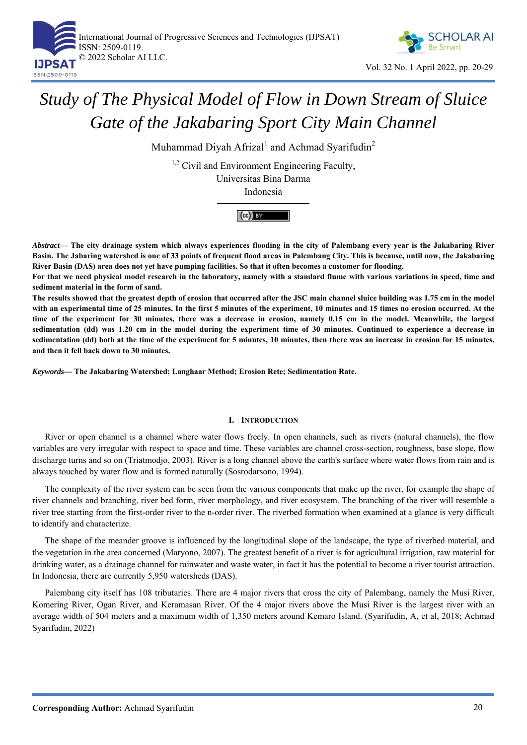



# *Study of The Physical Model of Flow in Down Stream of Sluice Gate of the Jakabaring Sport City Main Channel*

Muhammad Diyah Afrizal $^1$  and Achmad Syarifudin $^2$ 

<sup>1,2</sup> Civil and Environment Engineering Faculty, Universitas Bina Darma

Indonesia

 $(cc)$  BY

*Abstract***— The city drainage system which always experiences flooding in the city of Palembang every year is the Jakabaring River Basin. The Jabaring watershed is one of 33 points of frequent flood areas in Palembang City. This is because, until now, the Jakabaring River Basin (DAS) area does not yet have pumping facilities. So that it often becomes a customer for flooding.** 

**For that we need physical model research in the laboratory, namely with a standard flume with various variations in speed, time and sediment material in the form of sand.** 

**The results showed that the greatest depth of erosion that occurred after the JSC main channel sluice building was 1.75 cm in the model with an experimental time of 25 minutes. In the first 5 minutes of the experiment, 10 minutes and 15 times no erosion occurred. At the time of the experiment for 30 minutes, there was a decrease in erosion, namely 0.15 cm in the model. Meanwhile, the largest sedimentation (dd) was 1.20 cm in the model during the experiment time of 30 minutes. Continued to experience a decrease in sedimentation (dd) both at the time of the experiment for 5 minutes, 10 minutes, then there was an increase in erosion for 15 minutes, and then it fell back down to 30 minutes.** 

*Keywords—* **The Jakabaring Watershed; Langhaar Method; Erosion Rete; Sedimentation Rate.** 

## **I. INTRODUCTION**

River or open channel is a channel where water flows freely. In open channels, such as rivers (natural channels), the flow variables are very irregular with respect to space and time. These variables are channel cross-section, roughness, base slope, flow discharge turns and so on (Triatmodjo, 2003). River is a long channel above the earth's surface where water flows from rain and is always touched by water flow and is formed naturally (Sosrodarsono, 1994).

The complexity of the river system can be seen from the various components that make up the river, for example the shape of river channels and branching, river bed form, river morphology, and river ecosystem. The branching of the river will resemble a river tree starting from the first-order river to the n-order river. The riverbed formation when examined at a glance is very difficult to identify and characterize.

The shape of the meander groove is influenced by the longitudinal slope of the landscape, the type of riverbed material, and the vegetation in the area concerned (Maryono, 2007). The greatest benefit of a river is for agricultural irrigation, raw material for drinking water, as a drainage channel for rainwater and waste water, in fact it has the potential to become a river tourist attraction. In Indonesia, there are currently 5,950 watersheds (DAS).

Palembang city itself has 108 tributaries. There are 4 major rivers that cross the city of Palembang, namely the Musi River, Komering River, Ogan River, and Keramasan River. Of the 4 major rivers above the Musi River is the largest river with an average width of 504 meters and a maximum width of 1,350 meters around Kemaro Island. (Syarifudin, A, et al, 2018; Achmad Syarifudin, 2022)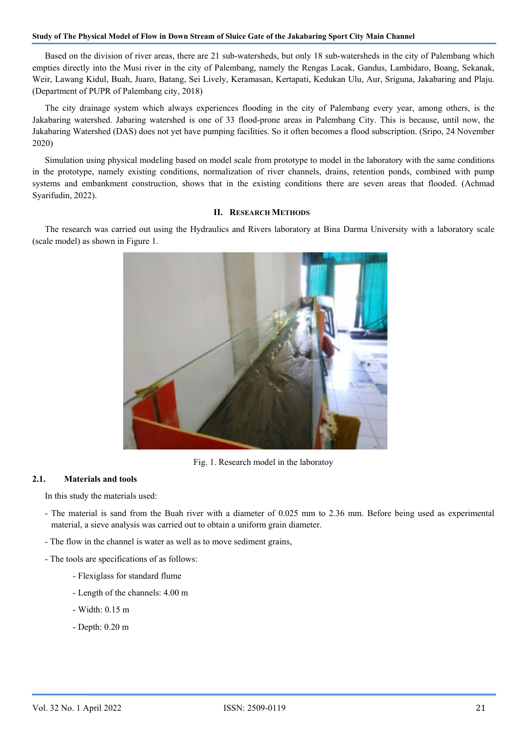#### **Study of The Physical Model of Flow in Down Stream of Sluice Gate of the Jakabaring Sport City Main Channel**

Based on the division of river areas, there are 21 sub-watersheds, but only 18 sub-watersheds in the city of Palembang which empties directly into the Musi river in the city of Palembang, namely the Rengas Lacak, Gandus, Lambidaro, Boang, Sekanak, Weir, Lawang Kidul, Buah, Juaro, Batang, Sei Lively, Keramasan, Kertapati, Kedukan Ulu, Aur, Sriguna, Jakabaring and Plaju. (Department of PUPR of Palembang city, 2018)

The city drainage system which always experiences flooding in the city of Palembang every year, among others, is the Jakabaring watershed. Jabaring watershed is one of 33 flood-prone areas in Palembang City. This is because, until now, the Jakabaring Watershed (DAS) does not yet have pumping facilities. So it often becomes a flood subscription. (Sripo, 24 November 2020)

Simulation using physical modeling based on model scale from prototype to model in the laboratory with the same conditions in the prototype, namely existing conditions, normalization of river channels, drains, retention ponds, combined with pump systems and embankment construction, shows that in the existing conditions there are seven areas that flooded. (Achmad Syarifudin, 2022).

### **II. RESEARCH METHODS**

The research was carried out using the Hydraulics and Rivers laboratory at Bina Darma University with a laboratory scale (scale model) as shown in Figure 1.



Fig. 1. Research model in the laboratoy

#### **2.1. Materials and tools**

In this study the materials used:

- The material is sand from the Buah river with a diameter of 0.025 mm to 2.36 mm. Before being used as experimental material, a sieve analysis was carried out to obtain a uniform grain diameter.
- The flow in the channel is water as well as to move sediment grains,
- The tools are specifications of as follows:
	- Flexiglass for standard flume
	- Length of the channels: 4.00 m
	- Width: 0.15 m
	- Depth: 0.20 m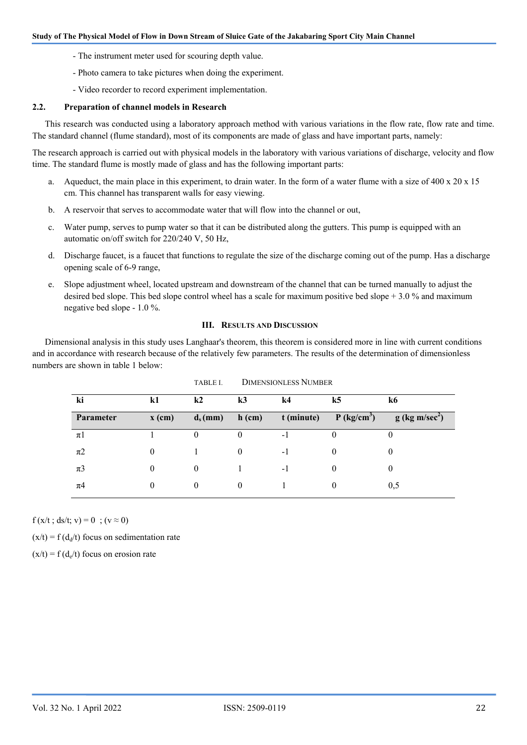- The instrument meter used for scouring depth value.
- Photo camera to take pictures when doing the experiment.
- Video recorder to record experiment implementation.

#### **2.2. Preparation of channel models in Research**

This research was conducted using a laboratory approach method with various variations in the flow rate, flow rate and time. The standard channel (flume standard), most of its components are made of glass and have important parts, namely:

The research approach is carried out with physical models in the laboratory with various variations of discharge, velocity and flow time. The standard flume is mostly made of glass and has the following important parts:

- a. Aqueduct, the main place in this experiment, to drain water. In the form of a water flume with a size of 400 x  $20 \times 15$ cm. This channel has transparent walls for easy viewing.
- b. A reservoir that serves to accommodate water that will flow into the channel or out,
- c. Water pump, serves to pump water so that it can be distributed along the gutters. This pump is equipped with an automatic on/off switch for 220/240 V, 50 Hz,
- d. Discharge faucet, is a faucet that functions to regulate the size of the discharge coming out of the pump. Has a discharge opening scale of 6-9 range,
- e. Slope adjustment wheel, located upstream and downstream of the channel that can be turned manually to adjust the desired bed slope. This bed slope control wheel has a scale for maximum positive bed slope + 3.0 % and maximum negative bed slope - 1.0 %.

#### **III. RESULTS AND DISCUSSION**

Dimensional analysis in this study uses Langhaar's theorem, this theorem is considered more in line with current conditions and in accordance with research because of the relatively few parameters. The results of the determination of dimensionless numbers are shown in table 1 below:

| ki        | k1                | k2         | k <sub>3</sub> | k4         | k5                        | k6                           |
|-----------|-------------------|------------|----------------|------------|---------------------------|------------------------------|
| Parameter | $\mathbf{x}$ (cm) | $d_s$ (mm) | $h$ (cm)       | t (minute) | $P$ (kg/cm <sup>3</sup> ) | $g$ (kg m/sec <sup>2</sup> ) |
| $\pi$ 1   |                   |            |                | - 1        |                           |                              |
| $\pi$ 2   |                   |            | $\Omega$       | - 1        |                           |                              |
| $\pi$ 3   |                   | $\theta$   |                | - 1        |                           |                              |
| $\pi$ 4   |                   | $\theta$   | $\Omega$       |            |                           | 0,5                          |

| TABLE I. | <b>DIMENSIONLESS NUMBER</b> |
|----------|-----------------------------|
|----------|-----------------------------|

 $f(x/t$ ; ds/t; v) = 0; (v  $\approx$  0)

 $(x/t) = f(d_d/t)$  focus on sedimentation rate

 $(x/t) = f(d_e/t)$  focus on erosion rate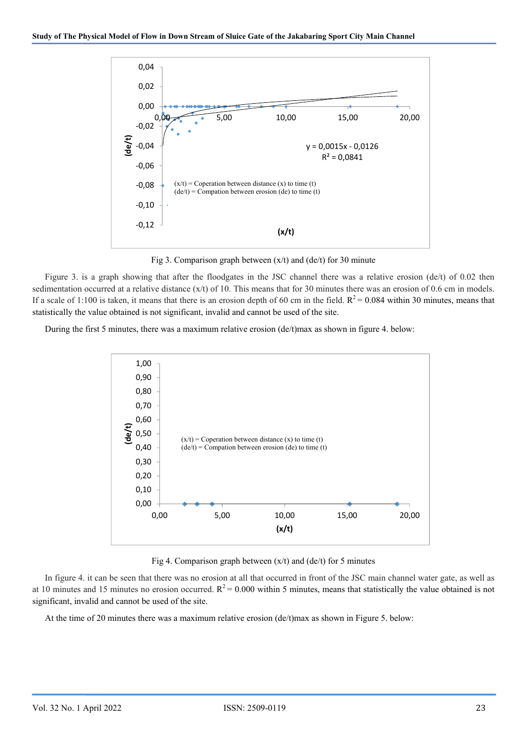

Fig 3. Comparison graph between  $(x/t)$  and  $(de/t)$  for 30 minute

Figure 3. is a graph showing that after the floodgates in the JSC channel there was a relative erosion (de/t) of 0.02 then sedimentation occurred at a relative distance (x/t) of 10. This means that for 30 minutes there was an erosion of 0.6 cm in models. If a scale of 1:100 is taken, it means that there is an erosion depth of 60 cm in the field.  $R^2 = 0.084$  within 30 minutes, means that statistically the value obtained is not significant, invalid and cannot be used of the site.

During the first 5 minutes, there was a maximum relative erosion (de/t)max as shown in figure 4. below:



Fig 4. Comparison graph between  $(x/t)$  and  $(de/t)$  for 5 minutes

In figure 4. it can be seen that there was no erosion at all that occurred in front of the JSC main channel water gate, as well as at 10 minutes and 15 minutes no erosion occurred.  $R^2 = 0.000$  within 5 minutes, means that statistically the value obtained is not significant, invalid and cannot be used of the site.

At the time of 20 minutes there was a maximum relative erosion (de/t)max as shown in Figure 5. below: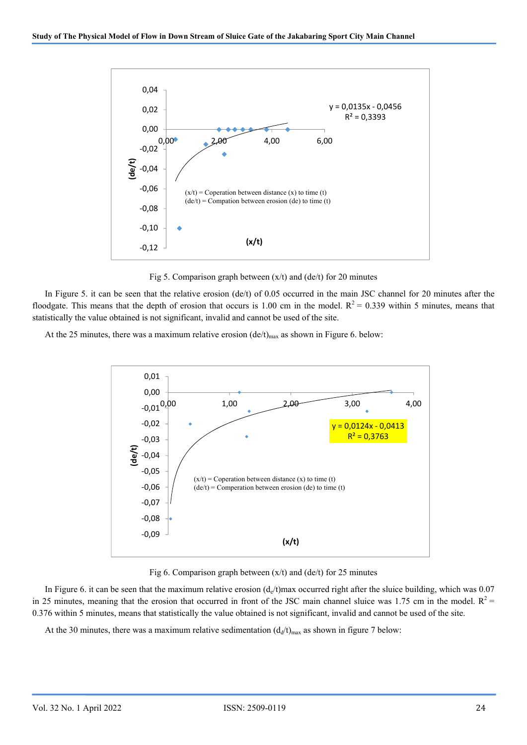

Fig 5. Comparison graph between  $(x/t)$  and  $(de/t)$  for 20 minutes

In Figure 5. it can be seen that the relative erosion (de/t) of 0.05 occurred in the main JSC channel for 20 minutes after the floodgate. This means that the depth of erosion that occurs is 1.00 cm in the model.  $R^2 = 0.339$  within 5 minutes, means that statistically the value obtained is not significant, invalid and cannot be used of the site.

At the 25 minutes, there was a maximum relative erosion  $(de/t)_{max}$  as shown in Figure 6. below:



Fig 6. Comparison graph between  $(x/t)$  and  $(de/t)$  for 25 minutes

In Figure 6. it can be seen that the maximum relative erosion  $(d_e/t)$  max occurred right after the sluice building, which was 0.07 in 25 minutes, meaning that the erosion that occurred in front of the JSC main channel sluice was 1.75 cm in the model.  $R^2$  = 0.376 within 5 minutes, means that statistically the value obtained is not significant, invalid and cannot be used of the site.

At the 30 minutes, there was a maximum relative sedimentation  $(d_d/t)_{max}$  as shown in figure 7 below: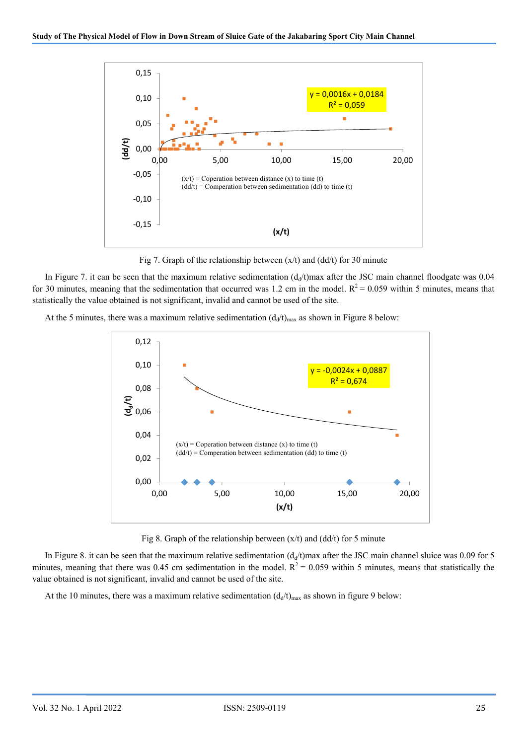

Fig 7. Graph of the relationship between  $(x/t)$  and  $(dd/t)$  for 30 minute

In Figure 7. it can be seen that the maximum relative sedimentation  $(d<sub>d</sub>/t)$ max after the JSC main channel floodgate was 0.04 for 30 minutes, meaning that the sedimentation that occurred was 1.2 cm in the model.  $R^2 = 0.059$  within 5 minutes, means that statistically the value obtained is not significant, invalid and cannot be used of the site.

At the 5 minutes, there was a maximum relative sedimentation  $(d_d/t)_{max}$  as shown in Figure 8 below:



Fig 8. Graph of the relationship between  $(x/t)$  and  $(dd/t)$  for 5 minute

In Figure 8. it can be seen that the maximum relative sedimentation  $(d<sub>d</sub>/t)$ max after the JSC main channel sluice was 0.09 for 5 minutes, meaning that there was 0.45 cm sedimentation in the model.  $R^2 = 0.059$  within 5 minutes, means that statistically the value obtained is not significant, invalid and cannot be used of the site.

At the 10 minutes, there was a maximum relative sedimentation  $(d_d/t)_{max}$  as shown in figure 9 below: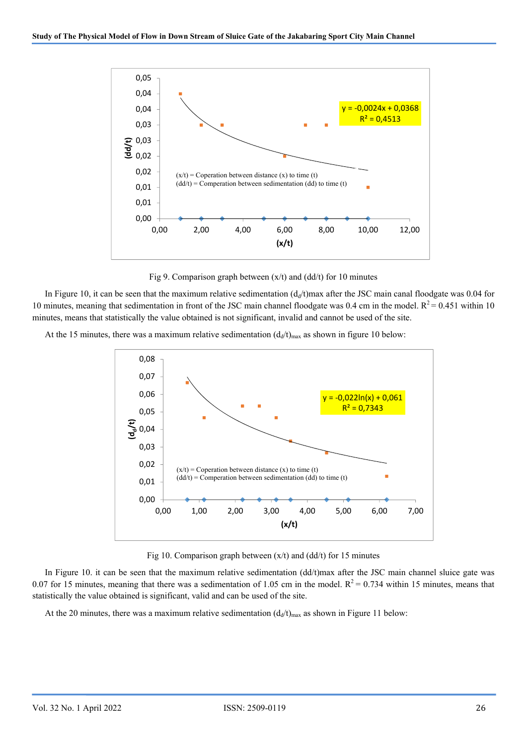

Fig 9. Comparison graph between  $(x/t)$  and  $(dd/t)$  for 10 minutes

In Figure 10, it can be seen that the maximum relative sedimentation  $(d_d/t)$ max after the JSC main canal floodgate was 0.04 for 10 minutes, meaning that sedimentation in front of the JSC main channel floodgate was 0.4 cm in the model.  $R^2 = 0.451$  within 10 minutes, means that statistically the value obtained is not significant, invalid and cannot be used of the site.

At the 15 minutes, there was a maximum relative sedimentation  $(d_d/t)_{max}$  as shown in figure 10 below:



Fig 10. Comparison graph between (x/t) and (dd/t) for 15 minutes

In Figure 10. it can be seen that the maximum relative sedimentation (dd/t)max after the JSC main channel sluice gate was 0.07 for 15 minutes, meaning that there was a sedimentation of 1.05 cm in the model.  $R^2 = 0.734$  within 15 minutes, means that statistically the value obtained is significant, valid and can be used of the site.

At the 20 minutes, there was a maximum relative sedimentation  $(d_d/t)_{max}$  as shown in Figure 11 below: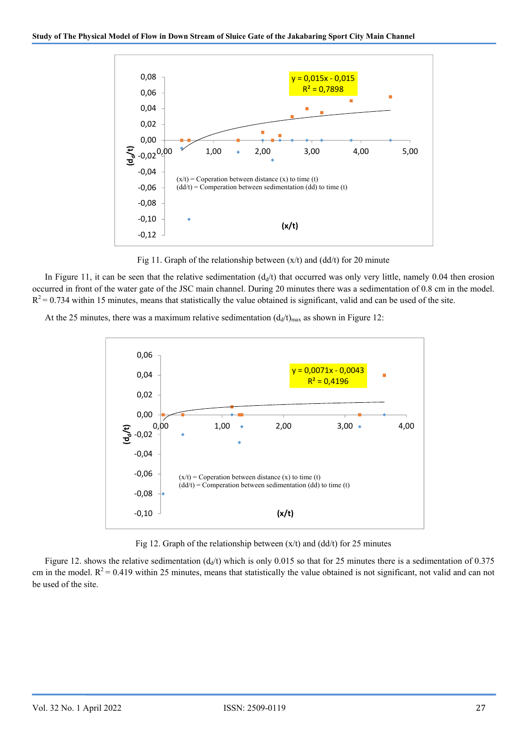

Fig 11. Graph of the relationship between  $(x/t)$  and  $(dd/t)$  for 20 minute

In Figure 11, it can be seen that the relative sedimentation  $(d<sub>d</sub>/t)$  that occurred was only very little, namely 0.04 then erosion occurred in front of the water gate of the JSC main channel. During 20 minutes there was a sedimentation of 0.8 cm in the model.  $R<sup>2</sup> = 0.734$  within 15 minutes, means that statistically the value obtained is significant, valid and can be used of the site.

At the 25 minutes, there was a maximum relative sedimentation  $(d_d/t)_{max}$  as shown in Figure 12:



Fig 12. Graph of the relationship between  $(x/t)$  and  $(dd/t)$  for 25 minutes

Figure 12. shows the relative sedimentation ( $d_d$ /t) which is only 0.015 so that for 25 minutes there is a sedimentation of 0.375 cm in the model.  $R^2 = 0.419$  within 25 minutes, means that statistically the value obtained is not significant, not valid and can not be used of the site.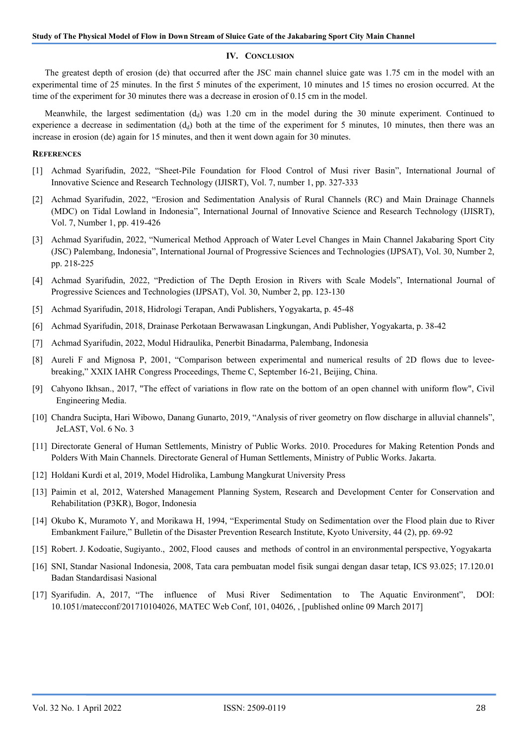#### **IV. CONCLUSION**

The greatest depth of erosion (de) that occurred after the JSC main channel sluice gate was 1.75 cm in the model with an experimental time of 25 minutes. In the first 5 minutes of the experiment, 10 minutes and 15 times no erosion occurred. At the time of the experiment for 30 minutes there was a decrease in erosion of 0.15 cm in the model.

Meanwhile, the largest sedimentation  $(d<sub>d</sub>)$  was 1.20 cm in the model during the 30 minute experiment. Continued to experience a decrease in sedimentation  $(d_d)$  both at the time of the experiment for 5 minutes, 10 minutes, then there was an increase in erosion (de) again for 15 minutes, and then it went down again for 30 minutes.

#### **REFERENCES**

- [1] Achmad Syarifudin, 2022, "Sheet-Pile Foundation for Flood Control of Musi river Basin", International Journal of Innovative Science and Research Technology (IJISRT), Vol. 7, number 1, pp. 327-333
- [2] Achmad Syarifudin, 2022, "Erosion and Sedimentation Analysis of Rural Channels (RC) and Main Drainage Channels (MDC) on Tidal Lowland in Indonesia", International Journal of Innovative Science and Research Technology (IJISRT), Vol. 7, Number 1, pp. 419-426
- [3] Achmad Syarifudin, 2022, "Numerical Method Approach of Water Level Changes in Main Channel Jakabaring Sport City (JSC) Palembang, Indonesia", International Journal of Progressive Sciences and Technologies (IJPSAT), Vol. 30, Number 2, pp. 218-225
- [4] Achmad Syarifudin, 2022, "Prediction of The Depth Erosion in Rivers with Scale Models", International Journal of Progressive Sciences and Technologies (IJPSAT), Vol. 30, Number 2, pp. 123-130
- [5] Achmad Syarifudin, 2018, Hidrologi Terapan, Andi Publishers, Yogyakarta, p. 45-48
- [6] Achmad Syarifudin, 2018, Drainase Perkotaan Berwawasan Lingkungan, Andi Publisher, Yogyakarta, p. 38-42
- [7] Achmad Syarifudin, 2022, Modul Hidraulika, Penerbit Binadarma, Palembang, Indonesia
- [8] Aureli F and Mignosa P, 2001, "Comparison between experimental and numerical results of 2D flows due to leveebreaking," XXIX IAHR Congress Proceedings, Theme C, September 16-21, Beijing, China.
- [9] Cahyono Ikhsan., 2017, "The effect of variations in flow rate on the bottom of an open channel with uniform flow", Civil Engineering Media.
- [10] Chandra Sucipta, Hari Wibowo, Danang Gunarto, 2019, "Analysis of river geometry on flow discharge in alluvial channels", JeLAST, Vol. 6 No. 3
- [11] Directorate General of Human Settlements, Ministry of Public Works. 2010. Procedures for Making Retention Ponds and Polders With Main Channels. Directorate General of Human Settlements, Ministry of Public Works. Jakarta.
- [12] Holdani Kurdi et al, 2019, Model Hidrolika, Lambung Mangkurat University Press
- [13] Paimin et al, 2012, Watershed Management Planning System, Research and Development Center for Conservation and Rehabilitation (P3KR), Bogor, Indonesia
- [14] Okubo K, Muramoto Y, and Morikawa H, 1994, "Experimental Study on Sedimentation over the Flood plain due to River Embankment Failure," Bulletin of the Disaster Prevention Research Institute, Kyoto University, 44 (2), pp. 69-92
- [15] Robert. J. Kodoatie, Sugiyanto., 2002, Flood causes and methods of control in an environmental perspective, Yogyakarta
- [16] SNI, Standar Nasional Indonesia, 2008, Tata cara pembuatan model fisik sungai dengan dasar tetap, ICS 93.025; 17.120.01 Badan Standardisasi Nasional
- [17] Syarifudin. A, 2017, "The influence of Musi River Sedimentation to The Aquatic Environment", DOI: 10.1051/matecconf/201710104026, MATEC Web Conf, 101, 04026, , [published online 09 March 2017]